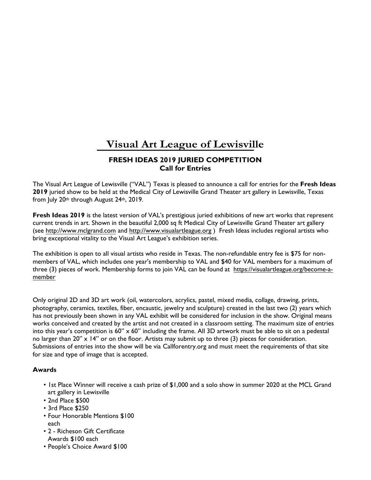# **Visual Art League of Lewisville**

## **FRESH IDEAS 2019 JURIED COMPETITION Call for Entries**

The Visual Art League of Lewisville ("VAL") Texas is pleased to announce a call for entries for the **Fresh Ideas 2019** juried show to be held at the Medical City of Lewisville Grand Theater art gallery in Lewisville, Texas from July 20th through August 24th, 2019.

**Fresh Ideas 2019** is the latest version of VAL's prestigious juried exhibitions of new art works that represent current trends in art. Shown in the beautiful 2,000 sq ft Medical City of Lewisville Grand Theater art gallery (see [http://www.mclgrand.com](http://www.mclgrand.com/) and <http://www.visualartleague.org> ) Fresh Ideas includes regional artists who bring exceptional vitality to the Visual Art League's exhibition series.

The exhibition is open to all visual artists who reside in Texas. The non-refundable entry fee is \$75 for nonmembers of VAL, which includes one year's membership to VAL and \$40 for VAL members for a maximum of three (3) pieces of work. Membership forms to join VAL can be found at [https://visualartleague.org/become-a](https://visualartleague.org/become-a-member)[member](http://visualartleague.org/test/wp-content/uploads/2013/08/11-27-16-VAL-Mbr-Form-with-Lisas-address.pdf)

Only original 2D and 3D art work (oil, watercolors, acrylics, pastel, mixed media, collage, drawing, prints, photography, ceramics, textiles, fiber, encaustic, jewelry and sculpture) created in the last two (2) years which has not previously been shown in any VAL exhibit will be considered for inclusion in the show. Original means works conceived and created by the artist and not created in a classroom setting. The maximum size of entries into this year's competition is  $60'' \times 60''$  including the frame. All 3D artwork must be able to sit on a pedestal no larger than 20" x 14" or on the floor. Artists may submit up to three (3) pieces for consideration. Submissions of entries into the show will be via Callforentry.org and must meet the requirements of that site for size and type of image that is accepted.

#### **Awards**

- 1st Place Winner will receive a cash prize of \$1,000 and a solo show in summer 2020 at the MCL Grand art gallery in Lewisville
- 2nd Place \$500
- 3rd Place \$250
- Four Honorable Mentions \$100 each
- 2 Richeson Gift Certificate Awards \$100 each
- People's Choice Award \$100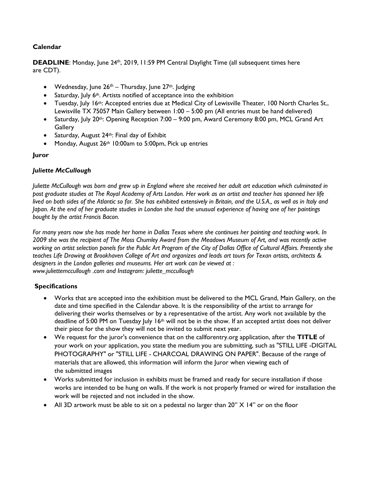## **Calendar**

DEADLINE: Monday, June 24<sup>th</sup>, 2019, 11:59 PM Central Daylight Time (all subsequent times here are CDT).

- Wednesday, June  $26<sup>th</sup>$  Thursday, June  $27<sup>th</sup>$ . Judging
- Saturday, July  $6<sup>th</sup>$ . Artists notified of acceptance into the exhibition
- Tuesday, July 16<sup>th</sup>: Accepted entries due at Medical City of Lewisville Theater, 100 North Charles St., Lewisville TX 75057 Main Gallery between 1:00 – 5:00 pm (All entries must be hand delivered)
- Saturday, July 20<sup>th</sup>: Opening Reception 7:00 9:00 pm, Award Ceremony 8:00 pm, MCL Grand Art **Gallery**
- Saturday, August 24<sup>th</sup>: Final day of Exhibit
- Monday, August 26<sup>th</sup> 10:00am to 5:00pm, Pick up entries

### **Juror**

#### *Juliette McCullough*

*Juliette McCullough was born and grew up in England where she received her adult art education which culminated in post graduate studies at The Royal Academy of Arts London. Her work as an artist and teacher has spanned her life lived on both sides of the Atlantic so far. She has exhibited extensively in Britain, and the U.S.A., as well as in Italy and Japan. At the end of her graduate studies in London she had the unusual experience of having one of her paintings bought by the artist Francis Bacon.* 

*For many years now she has made her home in Dallas Texas where she continues her painting and teaching work. In 2009 she was the recipient of The Moss Chumley Award from the Meadows Museum of Art, and was recently active working on artist selection panels for the Public Art Program of the City of Dallas Office of Cultural Affairs. Presently she teaches Life Drawing at Brookhaven College of Art and organizes and leads art tours for Texan artists, architects & designers in the London galleries and museums. Her art work can be viewed at : www.juliettemccullough .com and Instagram: juliette\_mccullough* 

## **Specifications**

- Works that are accepted into the exhibition must be delivered to the MCL Grand, Main Gallery, on the date and time specified in the Calendar above. It is the responsibility of the artist to arrange for delivering their works themselves or by a representative of the artist. Any work not available by the deadline of 5:00 PM on Tuesday July 16<sup>th</sup> will not be in the show. If an accepted artist does not deliver their piece for the show they will not be invited to submit next year.
- We request for the juror's convenience that on the callforentry.org application, after the **TITLE** of your work on your application, you state the medium you are submitting, such as "STILL LIFE -DIGITAL PHOTOGRAPHY" or "STILL LIFE - CHARCOAL DRAWING ON PAPER". Because of the range of materials that are allowed, this information will inform the Juror when viewing each of the submitted images
- Works submitted for inclusion in exhibits must be framed and ready for secure installation if those works are intended to be hung on walls. If the work is not properly framed or wired for installation the work will be rejected and not included in the show.
- All 3D artwork must be able to sit on a pedestal no larger than 20" X 14" or on the floor